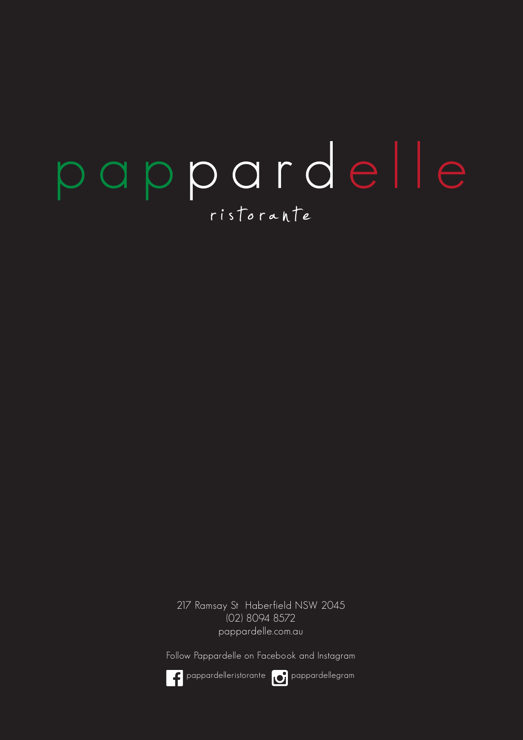## pappardelle ristorante

217 Ramsay St Haberfield NSW 2045 (02) 8094 8572 pappardelle.com.au

Follow Pappardelle on Facebook and Instagram



pappardelleristorante pappardellegram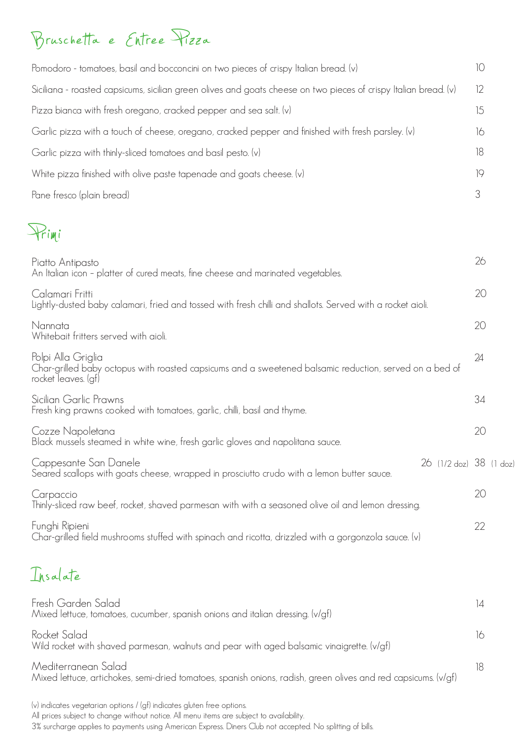## Bruschetta e Entree Pizza

| Pomodoro - tomatoes, basil and bocconcini on two pieces of crispy Italian bread. (v)                                                                 | 10              |  |
|------------------------------------------------------------------------------------------------------------------------------------------------------|-----------------|--|
| Siciliana - roasted capsicums, sicilian green olives and goats cheese on two pieces of crispy Italian bread. (v)                                     | 12              |  |
| Pizza bianca with fresh oregano, cracked pepper and sea salt. (v)                                                                                    | 15              |  |
| Garlic pizza with a touch of cheese, oregano, cracked pepper and finished with fresh parsley. (v)                                                    | 16              |  |
| Garlic pizza with thinly-sliced tomatoes and basil pesto. (v)                                                                                        | 18              |  |
| White pizza finished with olive paste tapenade and goats cheese. (v)                                                                                 | 19              |  |
| Pane fresco (plain bread)                                                                                                                            | 3               |  |
| trimi                                                                                                                                                |                 |  |
| Piatto Antipasto<br>An Italian icon - platter of cured meats, fine cheese and marinated vegetables.                                                  | 26              |  |
| Calamari Fritti<br>Lightly-dusted baby calamari, fried and tossed with fresh chilli and shallots. Served with a rocket aioli.                        | 20              |  |
| Nannata<br>Whitebait fritters served with aioli.                                                                                                     | 20              |  |
| Polpi Alla Griglia<br>Char-grilled baby octopus with roasted capsicums and a sweetened balsamic reduction, served on a bed of<br>rocket leaves. (gf) | 24              |  |
| Sicilian Garlic Prawns<br>Fresh king prawns cooked with tomatoes, garlic, chilli, basil and thyme.                                                   | 34              |  |
| Cozze Napoletana<br>Black mussels steamed in white wine, fresh garlic gloves and napolitana sauce.                                                   | 20              |  |
| Cappesante San Danele<br>26 (1/2 doz) 38 (1 doz<br>Seared scallops with goats cheese, wrapped in prosciutto crudo with a lemon butter sauce.         |                 |  |
| Carpaccio<br>Thinly-sliced raw beef, rocket, shaved parmesan with with a seasoned olive oil and lemon dressing.                                      | 20              |  |
| Funghi Ripieni<br>Char-grilled field mushrooms stuffed with spinach and ricotta, drizzled with a gorgonzola sauce. (v)                               | 22              |  |
| Insalate                                                                                                                                             |                 |  |
| Fresh Garden Salad<br>Mixed lettuce, tomatoes, cucumber, spanish onions and italian dressing. (v/gf)                                                 | $\overline{14}$ |  |
| Rocket Salad<br>Wild rocket with shaved parmesan, walnuts and pear with aged balsamic vinaigrette. (v/gf)                                            | 16              |  |
| Mediterranean Salad<br>Mixed lettuce, artichokes, semi-dried tomatoes, spanish onions, radish, green olives and red capsicums. (v/gf)                | 18              |  |

(v) indicates vegetarian options / (gf) indicates gluten free options.

All prices subject to change without notice. All menu items are subject to availability.

3% surcharge applies to payments using American Express. Diners Club not accepted. No splitting of bills.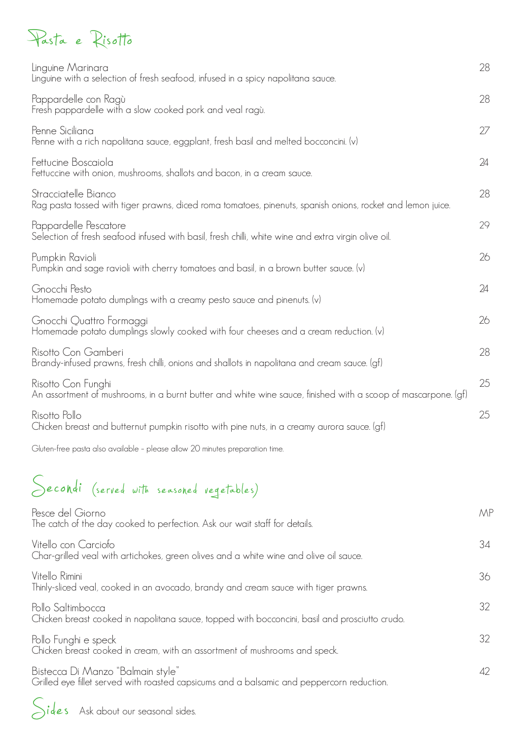## Pasta e Risotto

| Pappardelle con Ragù<br>28<br>Fresh pappardelle with a slow cooked pork and veal ragù.<br>Penne Siciliana<br>27<br>Penne with a rich napolitana sauce, eggplant, fresh basil and melted bocconcini. (v)<br>Fettucine Boscaiola<br>24<br>Fettuccine with onion, mushrooms, shallots and bacon, in a cream sauce.<br>Stracciatelle Bianco<br>28<br>Rag pasta tossed with tiger prawns, diced roma tomatoes, pinenuts, spanish onions, rocket and lemon juice.<br>29<br>Pappardelle Pescatore<br>Selection of fresh seafood infused with basil, fresh chilli, white wine and extra virgin olive oil.<br>26<br>Pumpkin Ravioli<br>Pumpkin and sage ravioli with cherry tomatoes and basil, in a brown butter sauce. (v)<br>Gnocchi Pesto<br>24<br>Homemade potato dumplings with a creamy pesto sauce and pinenuts. (v)<br>Gnocchi Quattro Formaggi<br>26<br>Homemade potato dumplings slowly cooked with four cheeses and a cream reduction. (v)<br>28<br>Risotto Con Gamberi<br>Brandy-infused prawns, fresh chilli, onions and shallots in napolitana and cream sauce. (gf)<br>25<br>Risotto Con Funghi<br>An assortment of mushrooms, in a burnt butter and white wine sauce, finished with a scoop of mascarpone. (gf)<br>25<br>Risotto Pollo<br>Chicken breast and butternut pumpkin risotto with pine nuts, in a creamy aurora sauce. (gf) | Linguine Marinara<br>Linguine with a selection of fresh seafood, infused in a spicy napolitana sauce. | 28 |
|-----------------------------------------------------------------------------------------------------------------------------------------------------------------------------------------------------------------------------------------------------------------------------------------------------------------------------------------------------------------------------------------------------------------------------------------------------------------------------------------------------------------------------------------------------------------------------------------------------------------------------------------------------------------------------------------------------------------------------------------------------------------------------------------------------------------------------------------------------------------------------------------------------------------------------------------------------------------------------------------------------------------------------------------------------------------------------------------------------------------------------------------------------------------------------------------------------------------------------------------------------------------------------------------------------------------------------------------------|-------------------------------------------------------------------------------------------------------|----|
|                                                                                                                                                                                                                                                                                                                                                                                                                                                                                                                                                                                                                                                                                                                                                                                                                                                                                                                                                                                                                                                                                                                                                                                                                                                                                                                                               |                                                                                                       |    |
|                                                                                                                                                                                                                                                                                                                                                                                                                                                                                                                                                                                                                                                                                                                                                                                                                                                                                                                                                                                                                                                                                                                                                                                                                                                                                                                                               |                                                                                                       |    |
|                                                                                                                                                                                                                                                                                                                                                                                                                                                                                                                                                                                                                                                                                                                                                                                                                                                                                                                                                                                                                                                                                                                                                                                                                                                                                                                                               |                                                                                                       |    |
|                                                                                                                                                                                                                                                                                                                                                                                                                                                                                                                                                                                                                                                                                                                                                                                                                                                                                                                                                                                                                                                                                                                                                                                                                                                                                                                                               |                                                                                                       |    |
|                                                                                                                                                                                                                                                                                                                                                                                                                                                                                                                                                                                                                                                                                                                                                                                                                                                                                                                                                                                                                                                                                                                                                                                                                                                                                                                                               |                                                                                                       |    |
|                                                                                                                                                                                                                                                                                                                                                                                                                                                                                                                                                                                                                                                                                                                                                                                                                                                                                                                                                                                                                                                                                                                                                                                                                                                                                                                                               |                                                                                                       |    |
|                                                                                                                                                                                                                                                                                                                                                                                                                                                                                                                                                                                                                                                                                                                                                                                                                                                                                                                                                                                                                                                                                                                                                                                                                                                                                                                                               |                                                                                                       |    |
|                                                                                                                                                                                                                                                                                                                                                                                                                                                                                                                                                                                                                                                                                                                                                                                                                                                                                                                                                                                                                                                                                                                                                                                                                                                                                                                                               |                                                                                                       |    |
|                                                                                                                                                                                                                                                                                                                                                                                                                                                                                                                                                                                                                                                                                                                                                                                                                                                                                                                                                                                                                                                                                                                                                                                                                                                                                                                                               |                                                                                                       |    |
|                                                                                                                                                                                                                                                                                                                                                                                                                                                                                                                                                                                                                                                                                                                                                                                                                                                                                                                                                                                                                                                                                                                                                                                                                                                                                                                                               |                                                                                                       |    |
|                                                                                                                                                                                                                                                                                                                                                                                                                                                                                                                                                                                                                                                                                                                                                                                                                                                                                                                                                                                                                                                                                                                                                                                                                                                                                                                                               |                                                                                                       |    |

Gluten-free pasta also available – please allow 20 minutes preparation time.

## Secondi (served with seasoned vegetables)

| Pesce del Giorno<br>The catch of the day cooked to perfection. Ask our wait staff for details.                                 | MP |
|--------------------------------------------------------------------------------------------------------------------------------|----|
| Vitello con Carciofo<br>Char-grilled veal with artichokes, green olives and a white wine and olive oil sauce.                  | 34 |
| Vitello Rimini<br>Thinly-sliced veal, cooked in an avocado, brandy and cream sauce with tiger prawns.                          | 36 |
| Pollo Saltimbocca<br>Chicken breast cooked in napolitana sauce, topped with bocconcini, basil and prosciutto crudo.            | 32 |
| Pollo Funghi e speck<br>Chicken breast cooked in cream, with an assortment of mushrooms and speck.                             | 32 |
| Bistecca Di Manzo "Balmain style"<br>Grilled eye fillet served with roasted capsicums and a balsamic and peppercorn reduction. | 42 |

Sides Ask about our seasonal sides.